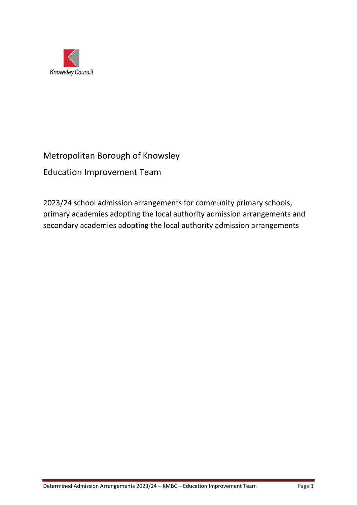

# Metropolitan Borough of Knowsley

Education Improvement Team

2023/24 school admission arrangements for community primary schools, primary academies adopting the local authority admission arrangements and secondary academies adopting the local authority admission arrangements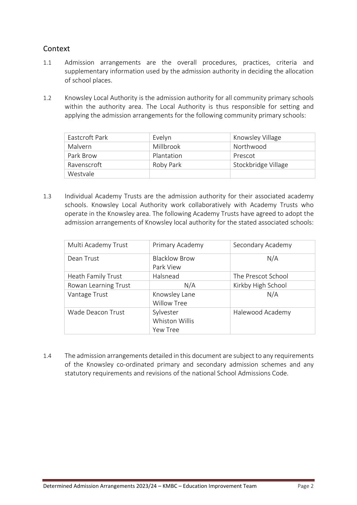## Context

- 1.1 Admission arrangements are the overall procedures, practices, criteria and supplementary information used by the admission authority in deciding the allocation of school places.
- 1.2 Knowsley Local Authority is the admission authority for all community primary schools within the authority area. The Local Authority is thus responsible for setting and applying the admission arrangements for the following community primary schools:

| Eastcroft Park | Evelyn     | Knowsley Village    |
|----------------|------------|---------------------|
| Malvern        | Millbrook  | Northwood           |
| Park Brow      | Plantation | Prescot             |
| Ravenscroft    | Roby Park  | Stockbridge Village |
| Westvale       |            |                     |

1.3 Individual Academy Trusts are the admission authority for their associated academy schools. Knowsley Local Authority work collaboratively with Academy Trusts who operate in the Knowsley area. The following Academy Trusts have agreed to adopt the admission arrangements of Knowsley local authority for the stated associated schools:

| Multi Academy Trust  | Primary Academy                         | Secondary Academy  |
|----------------------|-----------------------------------------|--------------------|
| Dean Trust           | <b>Blacklow Brow</b><br>Park View       | N/A                |
| Heath Family Trust   | Halsnead                                | The Prescot School |
| Rowan Learning Trust | N/A                                     | Kirkby High School |
| Vantage Trust        | Knowsley Lane<br><b>Willow Tree</b>     | N/A                |
| Wade Deacon Trust    | Sylvester<br>Whiston Willis<br>Yew Tree | Halewood Academy   |

1.4 The admission arrangements detailed in this document are subject to any requirements of the Knowsley co-ordinated primary and secondary admission schemes and any statutory requirements and revisions of the national School Admissions Code.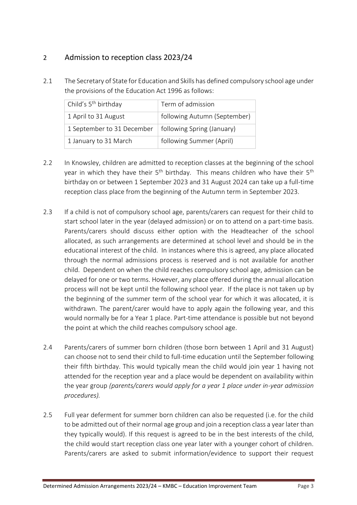## 2 Admission to reception class 2023/24

2.1 The Secretary of State for Education and Skills has defined compulsory school age under the provisions of the Education Act 1996 as follows:

| Child's 5 <sup>th</sup> birthday | Term of admission            |
|----------------------------------|------------------------------|
| 1 April to 31 August             | following Autumn (September) |
| 1 September to 31 December       | following Spring (January)   |
| 1 January to 31 March            | following Summer (April)     |

- 2.2 In Knowsley, children are admitted to reception classes at the beginning of the school year in which they have their  $5<sup>th</sup>$  birthday. This means children who have their  $5<sup>th</sup>$ birthday on or between 1 September 2023 and 31 August 2024 can take up a full-time reception class place from the beginning of the Autumn term in September 2023.
- 2.3 If a child is not of compulsory school age, parents/carers can request for their child to start school later in the year (delayed admission) or on to attend on a part-time basis. Parents/carers should discuss either option with the Headteacher of the school allocated, as such arrangements are determined at school level and should be in the educational interest of the child. In instances where this is agreed, any place allocated through the normal admissions process is reserved and is not available for another child. Dependent on when the child reaches compulsory school age, admission can be delayed for one or two terms. However, any place offered during the annual allocation process will not be kept until the following school year. If the place is not taken up by the beginning of the summer term of the school year for which it was allocated, it is withdrawn. The parent/carer would have to apply again the following year, and this would normally be for a Year 1 place. Part-time attendance is possible but not beyond the point at which the child reaches compulsory school age.
- 2.4 Parents/carers of summer born children (those born between 1 April and 31 August) can choose not to send their child to full-time education until the September following their fifth birthday. This would typically mean the child would join year 1 having not attended for the reception year and a place would be dependent on availability within the year group *(parents/carers would apply for a year 1 place under in-year admission procedures).*
- 2.5 Full year deferment for summer born children can also be requested (i.e. for the child to be admitted out of their normal age group and join a reception class a year later than they typically would). If this request is agreed to be in the best interests of the child, the child would start reception class one year later with a younger cohort of children. Parents/carers are asked to submit information/evidence to support their request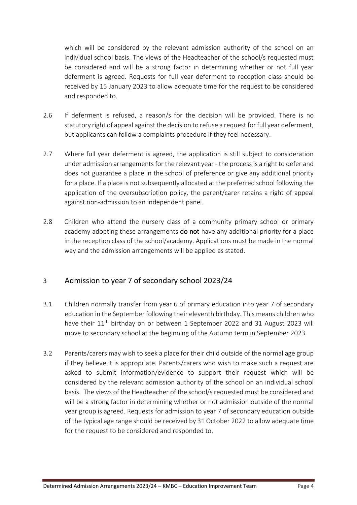which will be considered by the relevant admission authority of the school on an individual school basis. The views of the Headteacher of the school/s requested must be considered and will be a strong factor in determining whether or not full year deferment is agreed. Requests for full year deferment to reception class should be received by 15 January 2023 to allow adequate time for the request to be considered and responded to.

- 2.6 If deferment is refused, a reason/s for the decision will be provided. There is no statutory right of appeal against the decision to refuse a request for full year deferment, but applicants can follow a complaints procedure if they feel necessary.
- 2.7 Where full year deferment is agreed, the application is still subject to consideration under admission arrangements for the relevant year - the process is a right to defer and does not guarantee a place in the school of preference or give any additional priority for a place. If a place is not subsequently allocated at the preferred school following the application of the oversubscription policy, the parent/carer retains a right of appeal against non-admission to an independent panel.
- 2.8 Children who attend the nursery class of a community primary school or primary academy adopting these arrangements do not have any additional priority for a place in the reception class of the school/academy. Applications must be made in the normal way and the admission arrangements will be applied as stated.

## 3 Admission to year 7 of secondary school 2023/24

- 3.1 Children normally transfer from year 6 of primary education into year 7 of secondary education in the September following their eleventh birthday. This means children who have their 11<sup>th</sup> birthday on or between 1 September 2022 and 31 August 2023 will move to secondary school at the beginning of the Autumn term in September 2023.
- 3.2 Parents/carers may wish to seek a place for their child outside of the normal age group if they believe it is appropriate*.* Parents/carers who wish to make such a request are asked to submit information/evidence to support their request which will be considered by the relevant admission authority of the school on an individual school basis. The views of the Headteacher of the school/s requested must be considered and will be a strong factor in determining whether or not admission outside of the normal year group is agreed. Requests for admission to year 7 of secondary education outside of the typical age range should be received by 31 October 2022 to allow adequate time for the request to be considered and responded to.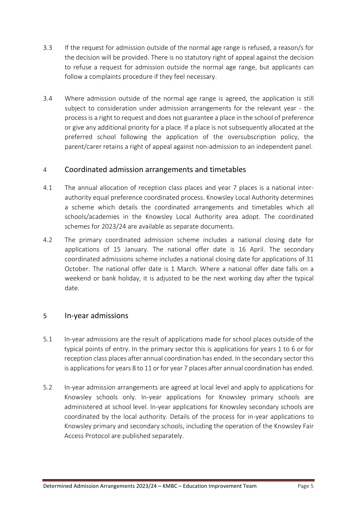- 3.3 If the request for admission outside of the normal age range is refused, a reason/s for the decision will be provided. There is no statutory right of appeal against the decision to refuse a request for admission outside the normal age range, but applicants can follow a complaints procedure if they feel necessary.
- 3.4 Where admission outside of the normal age range is agreed, the application is still subject to consideration under admission arrangements for the relevant year - the process is a right to request and does not guarantee a place in the school of preference or give any additional priority for a place. If a place is not subsequently allocated at the preferred school following the application of the oversubscription policy, the parent/carer retains a right of appeal against non-admission to an independent panel.

### <sup>4</sup>Coordinated admission arrangements and timetables

- 4.1 The annual allocation of reception class places and year 7 places is a national interauthority equal preference coordinated process. Knowsley Local Authority determines a scheme which details the coordinated arrangements and timetables which all schools/academies in the Knowsley Local Authority area adopt. The coordinated schemes for 2023/24 are available as separate documents.
- 4.2 The primary coordinated admission scheme includes a national closing date for applications of 15 January. The national offer date is 16 April. The secondary coordinated admissions scheme includes a national closing date for applications of 31 October. The national offer date is 1 March. Where a national offer date falls on a weekend or bank holiday, it is adjusted to be the next working day after the typical date.

#### 5 In-year admissions

- 5.1 In-year admissions are the result of applications made for school places outside of the typical points of entry. In the primary sector this is applications for years 1 to 6 or for reception class places after annual coordination has ended. In the secondary sector this is applications for years 8 to 11 or for year 7 places after annual coordination has ended.
- 5.2 In-year admission arrangements are agreed at local level and apply to applications for Knowsley schools only. In-year applications for Knowsley primary schools are administered at school level. In-year applications for Knowsley secondary schools are coordinated by the local authority. Details of the process for in-year applications to Knowsley primary and secondary schools, including the operation of the Knowsley Fair Access Protocol are published separately.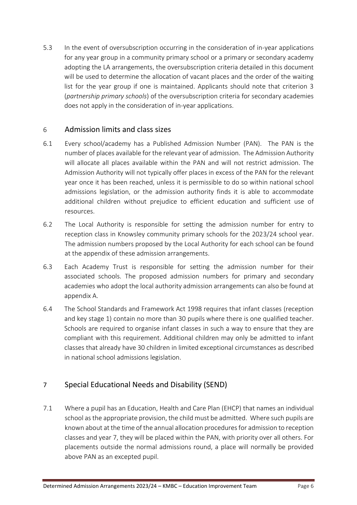5.3 In the event of oversubscription occurring in the consideration of in-year applications for any year group in a community primary school or a primary or secondary academy adopting the LA arrangements, the oversubscription criteria detailed in this document will be used to determine the allocation of vacant places and the order of the waiting list for the year group if one is maintained. Applicants should note that criterion 3 (*partnership primary schools*) of the oversubscription criteria for secondary academies does not apply in the consideration of in-year applications.

#### 6 Admission limits and class sizes

- 6.1 Every school/academy has a Published Admission Number (PAN). The PAN is the number of places available for the relevant year of admission. The Admission Authority will allocate all places available within the PAN and will not restrict admission. The Admission Authority will not typically offer places in excess of the PAN for the relevant year once it has been reached, unless it is permissible to do so within national school admissions legislation, or the admission authority finds it is able to accommodate additional children without prejudice to efficient education and sufficient use of resources.
- 6.2 The Local Authority is responsible for setting the admission number for entry to reception class in Knowsley community primary schools for the 2023/24 school year. The admission numbers proposed by the Local Authority for each school can be found at the appendix of these admission arrangements.
- 6.3 Each Academy Trust is responsible for setting the admission number for their associated schools. The proposed admission numbers for primary and secondary academies who adopt the local authority admission arrangements can also be found at appendix A.
- 6.4 The School Standards and Framework Act 1998 requires that infant classes (reception and key stage 1) contain no more than 30 pupils where there is one qualified teacher. Schools are required to organise infant classes in such a way to ensure that they are compliant with this requirement. Additional children may only be admitted to infant classes that already have 30 children in limited exceptional circumstances as described in national school admissions legislation.

## 7 Special Educational Needs and Disability (SEND)

7.1 Where a pupil has an Education, Health and Care Plan (EHCP) that names an individual school as the appropriate provision, the child must be admitted. Where such pupils are known about at the time of the annual allocation procedures for admission to reception classes and year 7, they will be placed within the PAN, with priority over all others. For placements outside the normal admissions round, a place will normally be provided above PAN as an excepted pupil.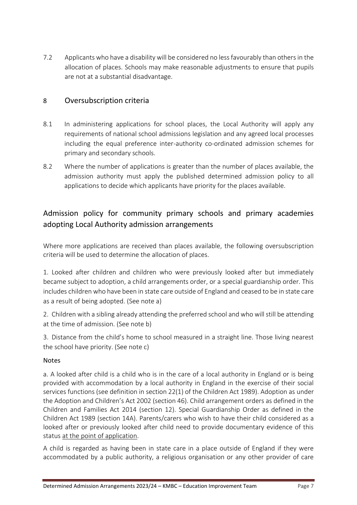7.2 Applicants who have a disability will be considered no less favourably than others in the allocation of places. Schools may make reasonable adjustments to ensure that pupils are not at a substantial disadvantage.

## 8 Oversubscription criteria

- 8.1 In administering applications for school places, the Local Authority will apply any requirements of national school admissions legislation and any agreed local processes including the equal preference inter-authority co-ordinated admission schemes for primary and secondary schools.
- 8.2 Where the number of applications is greater than the number of places available, the admission authority must apply the published determined admission policy to all applications to decide which applicants have priority for the places available.

## Admission policy for community primary schools and primary academies adopting Local Authority admission arrangements

Where more applications are received than places available, the following oversubscription criteria will be used to determine the allocation of places.

1. Looked after children and children who were previously looked after but immediately became subject to adoption, a child arrangements order, or a special guardianship order. This includes children who have been in state care outside of England and ceased to be in state care as a result of being adopted. (See note a)

2. Children with a sibling already attending the preferred school and who will still be attending at the time of admission. (See note b)

3. Distance from the child's home to school measured in a straight line. Those living nearest the school have priority. (See note c)

#### Notes

a. A looked after child is a child who is in the care of a local authority in England or is being provided with accommodation by a local authority in England in the exercise of their social services functions (see definition in section 22(1) of the Children Act 1989). Adoption as under the Adoption and Children's Act 2002 (section 46). Child arrangement orders as defined in the Children and Families Act 2014 (section 12). Special Guardianship Order as defined in the Children Act 1989 (section 14A). Parents/carers who wish to have their child considered as a looked after or previously looked after child need to provide documentary evidence of this status at the point of application.

A child is regarded as having been in state care in a place outside of England if they were accommodated by a public authority, a religious organisation or any other provider of care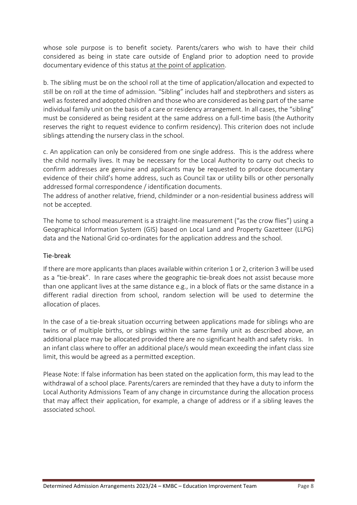whose sole purpose is to benefit society*.* Parents/carers who wish to have their child considered as being in state care outside of England prior to adoption need to provide documentary evidence of this status at the point of application.

b. The sibling must be on the school roll at the time of application/allocation and expected to still be on roll at the time of admission. "Sibling" includes half and stepbrothers and sisters as well as fostered and adopted children and those who are considered as being part of the same individual family unit on the basis of a care or residency arrangement. In all cases, the "sibling" must be considered as being resident at the same address on a full-time basis (the Authority reserves the right to request evidence to confirm residency). This criterion does not include siblings attending the nursery class in the school.

c. An application can only be considered from one single address. This is the address where the child normally lives. It may be necessary for the Local Authority to carry out checks to confirm addresses are genuine and applicants may be requested to produce documentary evidence of their child's home address, such as Council tax or utility bills or other personally addressed formal correspondence / identification documents.

The address of another relative, friend, childminder or a non-residential business address will not be accepted.

The home to school measurement is a straight-line measurement ("as the crow flies") using a Geographical Information System (GIS) based on Local Land and Property Gazetteer (LLPG) data and the National Grid co-ordinates for the application address and the school.

#### Tie-break

If there are more applicants than places available within criterion 1 or 2, criterion 3 will be used as a "tie-break". In rare cases where the geographic tie-break does not assist because more than one applicant lives at the same distance e.g., in a block of flats or the same distance in a different radial direction from school, random selection will be used to determine the allocation of places.

In the case of a tie-break situation occurring between applications made for siblings who are twins or of multiple births, or siblings within the same family unit as described above, an additional place may be allocated provided there are no significant health and safety risks. In an infant class where to offer an additional place/s would mean exceeding the infant class size limit, this would be agreed as a permitted exception.

Please Note: If false information has been stated on the application form, this may lead to the withdrawal of a school place. Parents/carers are reminded that they have a duty to inform the Local Authority Admissions Team of any change in circumstance during the allocation process that may affect their application, for example, a change of address or if a sibling leaves the associated school.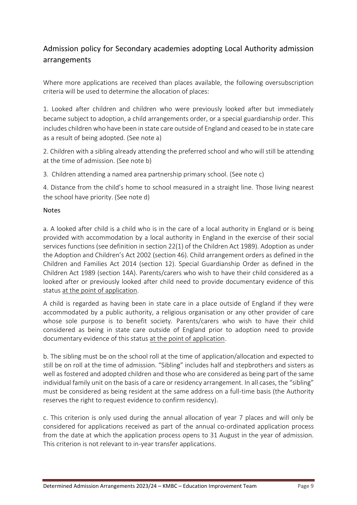## Admission policy for Secondary academies adopting Local Authority admission arrangements

Where more applications are received than places available, the following oversubscription criteria will be used to determine the allocation of places:

1. Looked after children and children who were previously looked after but immediately became subject to adoption, a child arrangements order, or a special guardianship order. This includes children who have been in state care outside of England and ceased to be in state care as a result of being adopted. (See note a)

2. Children with a sibling already attending the preferred school and who will still be attending at the time of admission. (See note b)

3. Children attending a named area partnership primary school. (See note c)

4. Distance from the child's home to school measured in a straight line. Those living nearest the school have priority. (See note d)

#### Notes

a. A looked after child is a child who is in the care of a local authority in England or is being provided with accommodation by a local authority in England in the exercise of their social services functions (see definition in section 22(1) of the Children Act 1989). Adoption as under the Adoption and Children's Act 2002 (section 46). Child arrangement orders as defined in the Children and Families Act 2014 (section 12). Special Guardianship Order as defined in the Children Act 1989 (section 14A). Parents/carers who wish to have their child considered as a looked after or previously looked after child need to provide documentary evidence of this status at the point of application.

A child is regarded as having been in state care in a place outside of England if they were accommodated by a public authority, a religious organisation or any other provider of care whose sole purpose is to benefit society*.* Parents/carers who wish to have their child considered as being in state care outside of England prior to adoption need to provide documentary evidence of this status at the point of application.

b. The sibling must be on the school roll at the time of application/allocation and expected to still be on roll at the time of admission. "Sibling" includes half and stepbrothers and sisters as well as fostered and adopted children and those who are considered as being part of the same individual family unit on the basis of a care or residency arrangement. In all cases, the "sibling" must be considered as being resident at the same address on a full-time basis (the Authority reserves the right to request evidence to confirm residency).

c. This criterion is only used during the annual allocation of year 7 places and will only be considered for applications received as part of the annual co-ordinated application process from the date at which the application process opens to 31 August in the year of admission. This criterion is not relevant to in-year transfer applications.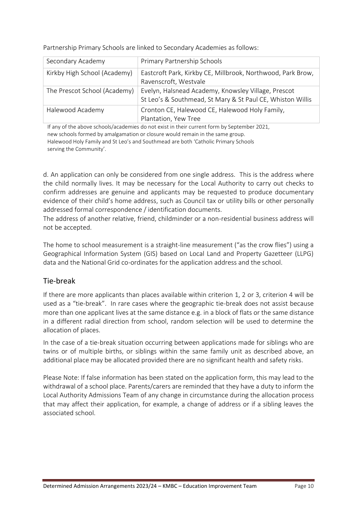| Secondary Academy            | Primary Partnership Schools                                                                                       |
|------------------------------|-------------------------------------------------------------------------------------------------------------------|
| Kirkby High School (Academy) | Eastcroft Park, Kirkby CE, Millbrook, Northwood, Park Brow,<br>Ravenscroft, Westvale                              |
| The Prescot School (Academy) | Evelyn, Halsnead Academy, Knowsley Village, Prescot<br>St Leo's & Southmead, St Mary & St Paul CE, Whiston Willis |
| Halewood Academy             | Cronton CE, Halewood CE, Halewood Holy Family,<br>Plantation, Yew Tree                                            |

Partnership Primary Schools are linked to Secondary Academies as follows:

If any of the above schools/academies do not exist in their current form by September 2021, new schools formed by amalgamation or closure would remain in the same group. Halewood Holy Family and St Leo's and Southmead are both 'Catholic Primary Schools serving the Community'.

d. An application can only be considered from one single address. This is the address where the child normally lives. It may be necessary for the Local Authority to carry out checks to confirm addresses are genuine and applicants may be requested to produce documentary evidence of their child's home address, such as Council tax or utility bills or other personally addressed formal correspondence / identification documents.

The address of another relative, friend, childminder or a non-residential business address will not be accepted.

The home to school measurement is a straight-line measurement ("as the crow flies") using a Geographical Information System (GIS) based on Local Land and Property Gazetteer (LLPG) data and the National Grid co-ordinates for the application address and the school.

### Tie-break

If there are more applicants than places available within criterion 1, 2 or 3, criterion 4 will be used as a "tie-break". In rare cases where the geographic tie-break does not assist because more than one applicant lives at the same distance e.g. in a block of flats or the same distance in a different radial direction from school, random selection will be used to determine the allocation of places.

In the case of a tie-break situation occurring between applications made for siblings who are twins or of multiple births, or siblings within the same family unit as described above, an additional place may be allocated provided there are no significant health and safety risks.

Please Note: If false information has been stated on the application form, this may lead to the withdrawal of a school place. Parents/carers are reminded that they have a duty to inform the Local Authority Admissions Team of any change in circumstance during the allocation process that may affect their application, for example, a change of address or if a sibling leaves the associated school.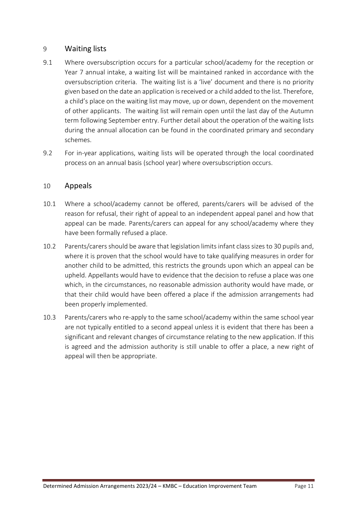### 9 Waiting lists

- 9.1 Where oversubscription occurs for a particular school/academy for the reception or Year 7 annual intake, a waiting list will be maintained ranked in accordance with the oversubscription criteria. The waiting list is a 'live' document and there is no priority given based on the date an application is received or a child added to the list. Therefore, a child's place on the waiting list may move, up or down, dependent on the movement of other applicants. The waiting list will remain open until the last day of the Autumn term following September entry. Further detail about the operation of the waiting lists during the annual allocation can be found in the coordinated primary and secondary schemes.
- 9.2 For in-year applications, waiting lists will be operated through the local coordinated process on an annual basis (school year) where oversubscription occurs.

#### 10 Appeals

- 10.1 Where a school/academy cannot be offered, parents/carers will be advised of the reason for refusal, their right of appeal to an independent appeal panel and how that appeal can be made. Parents/carers can appeal for any school/academy where they have been formally refused a place.
- 10.2 Parents/carers should be aware that legislation limits infant class sizes to 30 pupils and, where it is proven that the school would have to take qualifying measures in order for another child to be admitted, this restricts the grounds upon which an appeal can be upheld. Appellants would have to evidence that the decision to refuse a place was one which, in the circumstances, no reasonable admission authority would have made, or that their child would have been offered a place if the admission arrangements had been properly implemented.
- 10.3 Parents/carers who re-apply to the same school/academy within the same school year are not typically entitled to a second appeal unless it is evident that there has been a significant and relevant changes of circumstance relating to the new application. If this is agreed and the admission authority is still unable to offer a place, a new right of appeal will then be appropriate.